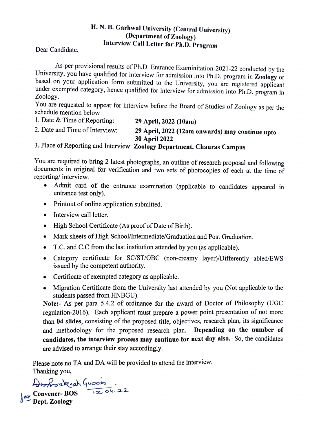# H. N. B. Garhwal University (Central University) (Department of Zoology) Interview Call Letter for Ph.D. Program Dear Candidate,

As per provisional results of Ph.D. Entrance Examinitation-2021-22 conducted by the University, you have qualified for interview for admission into Ph.D. program in Zoology or based on your application form submitted to th under exempted category, hence qualified for interview for admission into Ph.D. program in Zoology.

You are requested to appear for interview before the Board of Studies of Zoology as per the schedule mention below

1. Date & Time of Reporting: 29 April, 2022 (10am) 29 April, 2022 (12am onwards) may continue upto 30 April 2022 2. Date and Time of Interview:

3. Place of Reporting and Interview: Zoology Department, Chauras Campus

You are required to bring 2 latest photographs, an outline of research proposal and following documents in original for verification and two sets of photocopies of each at the time of reporting/ interview.

- Admit card of the entrance examination (applicable to candidates appeared in entrance test only).
- Printout of online application submitted.  $\bullet$
- Interview call letter.
- High School Certificate (As proof of Date of Birth).
- Mark sheets of High School/Intermediate/Graduation and Post Graduation.
- .T.C. and C.C from the last institution attended by you (as applicable).
- Category certificate for SC/ST/OBC (non-creamy layer)/Diffierently abled/EWS issued by the competent authority.
- Certificate of exempted category as applicable.
- Migration Certificate from the University last attended by you (Not applicable to the students passed from HNBGU).

Note:- As per para 5.4.2 of ordinance for the award of Doctor of Philosophy (UGC regulation-2016). Each applicant must prepare a power point presentation of not more than 04 slides, consisting of the proposed title, objectives, research plan, its significance and methodology for the proposed research plan. Depending on the number of candidates, the interview process may continue for next day also. So, the candidates are advised to arrange their stay accordingly.

Please note no TA and DA will be provided to attend the interview. Thanking you,

 $HrrK$ ou Rest Yuses<br> $\begin{bmatrix} \text{Lay} & \text{Convener-BOS} \\ \text{Lay} & \text{Conv} & \text{Dag} \end{bmatrix}$  $\delta^{\frac{2\nu}{\lambda}}$  Dept. Zoology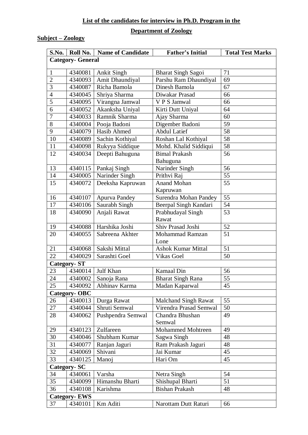## **List of the candidates for interview in Ph.D. Program in the**

#### **Department of Zoology**

## **Subject – Zoology**

|                          |         | S.No.   Roll No.   Name of Candidate | <b>Father's Initial</b>          | <b>Total Test Marks</b> |  |
|--------------------------|---------|--------------------------------------|----------------------------------|-------------------------|--|
| <b>Category- General</b> |         |                                      |                                  |                         |  |
| $\mathbf{1}$             | 4340081 | <b>Ankit Singh</b>                   | <b>Bharat Singh Sagoi</b>        | 71                      |  |
| $\overline{2}$           | 4340093 | Amit Dhaundiyal                      | Parshu Ram Dhaundiyal            | 69                      |  |
| 3                        | 4340087 | Richa Bamola                         | Dinesh Bamola                    | 67                      |  |
| $\overline{4}$           | 4340045 | Shriya Sharma                        | Diwakar Prasad                   | 66                      |  |
| 5                        | 4340095 | Virangna Jamwal                      | V P S Jamwal                     | 66                      |  |
| 6                        | 4340052 | Akanksha Uniyal                      | Kirti Dutt Uniyal                | 64                      |  |
| 7                        | 4340033 | Ramnik Sharma                        | Ajay Sharma                      | 60                      |  |
| 8                        | 4340004 | Pooja Badoni                         | Digember Badoni                  | 59                      |  |
| 9                        | 4340079 | Hasib Ahmed                          | <b>Abdul Latief</b>              | 58                      |  |
| 10                       | 4340089 | Sachin Kothiyal                      | Roshan Lal Kothiyal              | 58                      |  |
| 11                       | 4340098 | Rukyya Siddique                      | Mohd. Khalid Siddiqui            | 58                      |  |
| 12                       | 4340034 | Deepti Bahuguna                      | <b>Bimal Prakash</b><br>Bahuguna | 56                      |  |
| 13                       | 4340115 | Pankaj Singh                         | Narinder Singh                   | 56                      |  |
| 14                       | 4340005 | Narinder Singh                       | Prithvi Raj                      | 55                      |  |
| 15                       | 4340072 | Deeksha Kapruwan                     | <b>Anand Mohan</b><br>Kapruwan   | 55                      |  |
| 16                       | 4340107 | <b>Apurva Pandey</b>                 | Surendra Mohan Pandey            | 55                      |  |
| 17                       | 4340106 | Saurabh Singh                        | Beerpal Singh Kandari            | 54                      |  |
| 18                       | 4340090 | Anjali Rawat                         | Prabhudayal Singh<br>Rawat       | 53                      |  |
| 19                       | 4340088 | Harshika Joshi                       | Shiv Prasad Joshi                | 52                      |  |
| 20                       | 4340055 | Sabreena Akhter                      | Mohammad Ramzan<br>Lone          | 51                      |  |
| 21                       | 4340068 | Sakshi Mittal                        | <b>Ashok Kumar Mittal</b>        | 51                      |  |
| 22                       | 4340029 | Sarashti Goel                        | Vikas Goel                       | 50                      |  |
| <b>Category-ST</b>       |         |                                      |                                  |                         |  |
| 23                       | 4340014 | Julf Khan                            | <b>Kamaal</b> Din                | 56                      |  |
| 24                       | 4340002 | Sanoja Rana                          | <b>Bharat Singh Rana</b>         | 55                      |  |
| 25                       | 4340092 | Abhinav Karma                        | Madan Kaparwal                   | 45                      |  |
| Category-OBC             |         |                                      |                                  |                         |  |
| 26                       | 4340013 | Durga Rawat                          | <b>Malchand Singh Rawat</b>      | 55                      |  |
| 27                       | 4340044 | Shruti Semwal                        | Virendra Prasad Semwal           | 50                      |  |
| 28                       | 4340062 | Pushpendra Semwal                    | Chandra Bhushan<br>Semwal        | 49                      |  |
| 29                       | 4340123 | Zulfareen                            | <b>Mohammed Mohtreen</b>         | 49                      |  |
| 30                       | 4340046 | Shubham Kumar                        | Sagwa Singh                      | 48                      |  |
| 31                       | 4340077 | Ranjan Jaguri                        | Ram Prakash Jaguri               | 48                      |  |
| 32                       | 4340069 | Shivani                              | Jai Kumar                        | 45                      |  |
| 33                       | 4340125 | Manoj                                | Hari Om                          | 45                      |  |
| <b>Category-SC</b>       |         |                                      |                                  |                         |  |
| 34                       | 4340061 | Varsha                               | Netra Singh                      | 54                      |  |
| 35                       | 4340099 | Himanshu Bharti                      | Shishupal Bharti                 | 51                      |  |
| 36                       | 4340108 | Karishma                             | <b>Bishan Prakash</b>            | 48                      |  |
| <b>Category-EWS</b>      |         |                                      |                                  |                         |  |
| 37                       | 4340101 | Km Aditi                             | Narottam Dutt Raturi             | 66                      |  |